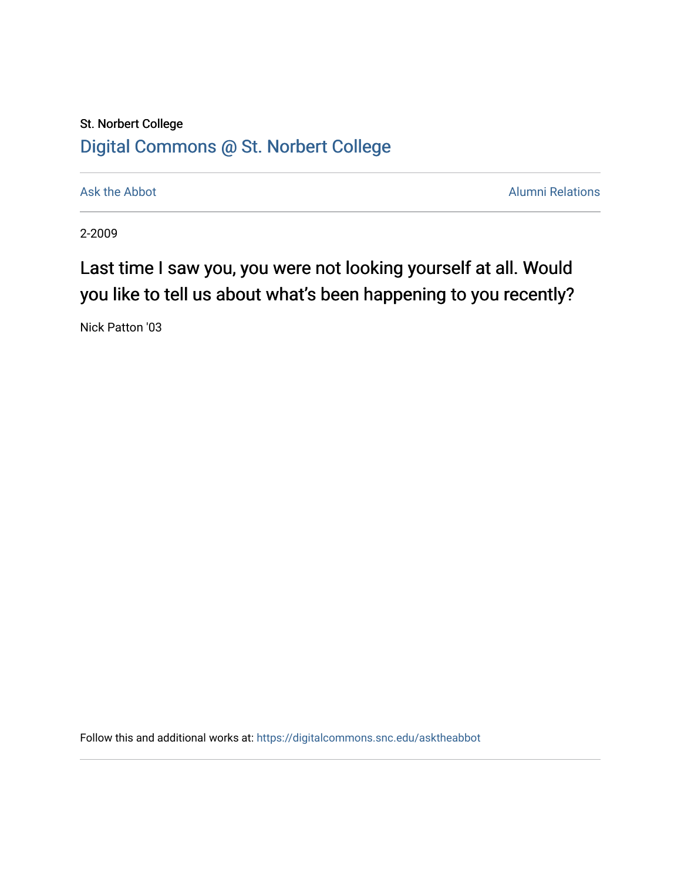## St. Norbert College [Digital Commons @ St. Norbert College](https://digitalcommons.snc.edu/)

[Ask the Abbot](https://digitalcommons.snc.edu/asktheabbot) **Alumni Relations** Ask the Abbot **Alumni Relations** 

2-2009

## Last time I saw you, you were not looking yourself at all. Would you like to tell us about what's been happening to you recently?

Nick Patton '03

Follow this and additional works at: [https://digitalcommons.snc.edu/asktheabbot](https://digitalcommons.snc.edu/asktheabbot?utm_source=digitalcommons.snc.edu%2Fasktheabbot%2F49&utm_medium=PDF&utm_campaign=PDFCoverPages)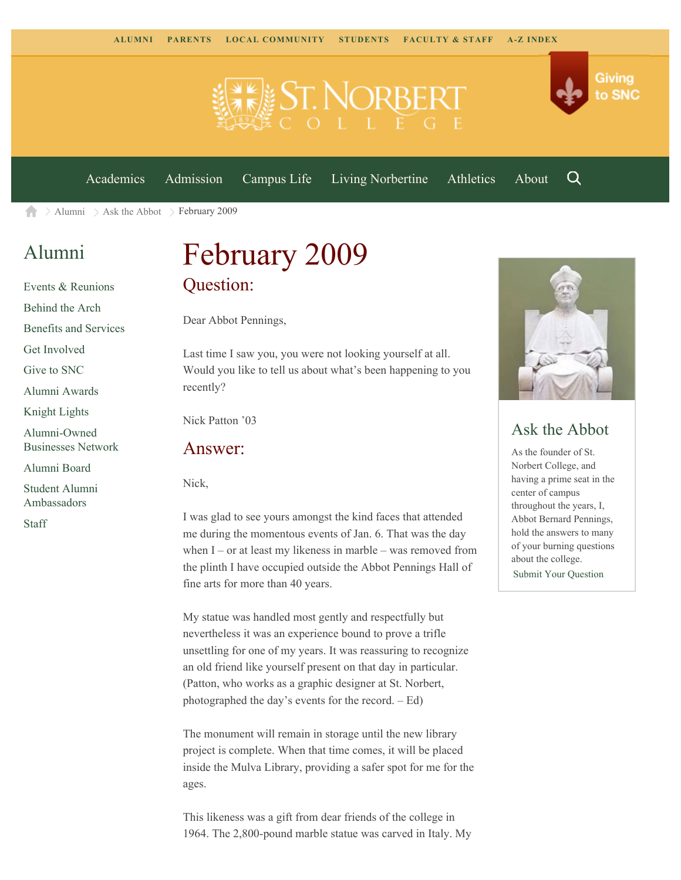



[Academics](https://www.snc.edu/academics) [Admission](https://www.snc.edu/admission) [Campus Life](https://www.snc.edu/campuslife) [Living Norbertine](https://www.snc.edu/livingnorbertine) [Athletics](https://www.snc.edu/athletics) [About](https://www.snc.edu/about)

Q

[Alumni](https://www.snc.edu/alumni/)  $\geq$  [Ask the Abbot](https://www.snc.edu/alumni/abbot/)  $\geq$  February 2009 合

### [Alumni](https://www.snc.edu/alumni/index.html)

[Events & Reunions](https://www.snc.edu/alumni/event/index.html) [Behind the Arch](https://www.snc.edu/alumni/event/behindthearch/) [Benefits and Services](https://www.snc.edu/alumni/benefits.html) [Get Involved](https://www.snc.edu/alumni/getinvolved.html) [Give to SNC](http://giving.snc.edu/) [Alumni Awards](https://www.snc.edu/alumni/awards/index.html) [Knight Lights](https://www.snc.edu/alumni/knightlights/index.html) [Alumni-Owned](https://www.snc.edu/alumni/directory/index.html) [Businesses Network](https://www.snc.edu/alumni/directory/index.html) [Alumni Board](https://www.snc.edu/alumni/alumniboard.html) [Student Alumni](https://www.snc.edu/alumni/saa.html) [Ambassadors](https://www.snc.edu/alumni/saa.html)

[Staff](https://www.snc.edu/alumni/contactus.html)

# February 2009 Question:

Dear Abbot Pennings,

Last time I saw you, you were not looking yourself at all. Would you like to tell us about what's been happening to you recently?

Nick Patton '03

#### Answer:

Nick,

I was glad to see yours amongst the kind faces that attended me during the momentous events of Jan. 6. That was the day when  $I$  – or at least my likeness in marble – was removed from the plinth I have occupied outside the Abbot Pennings Hall of fine arts for more than 40 years.

My statue was handled most gently and respectfully but nevertheless it was an experience bound to prove a trifle unsettling for one of my years. It was reassuring to recognize an old friend like yourself present on that day in particular. (Patton, who works as a graphic designer at St. Norbert, photographed the day's events for the record. – Ed)

The monument will remain in storage until the new library project is complete. When that time comes, it will be placed inside the Mulva Library, providing a safer spot for me for the ages.

This likeness was a gift from dear friends of the college in 1964. The 2,800-pound marble statue was carved in Italy. My



### Ask the Abbot

As the founder of St. Norbert College, and having a prime seat in the center of campus throughout the years, I, Abbot Bernard Pennings, hold the answers to many of your burning questions about the college. [Submit Your Question](https://www.snc.edu/alumni/abbot/index.html)